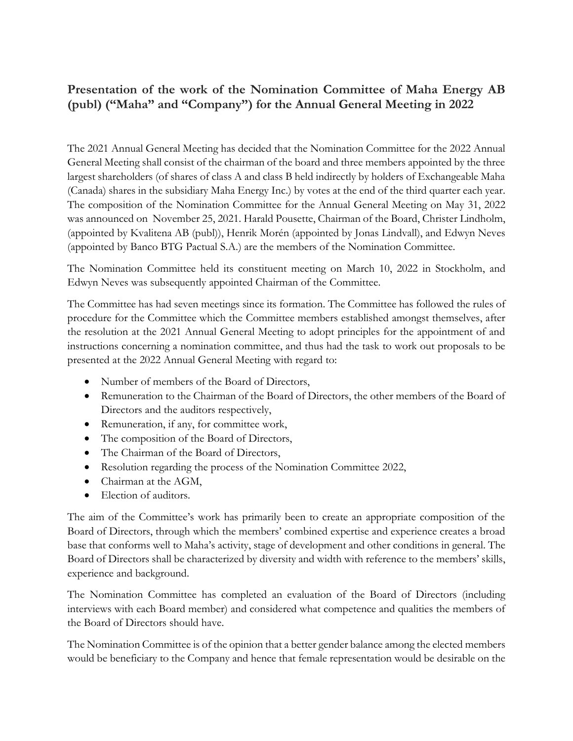## **Presentation of the work of the Nomination Committee of Maha Energy AB (publ) ("Maha" and "Company") for the Annual General Meeting in 2022**

The 2021 Annual General Meeting has decided that the Nomination Committee for the 2022 Annual General Meeting shall consist of the chairman of the board and three members appointed by the three largest shareholders (of shares of class A and class B held indirectly by holders of Exchangeable Maha (Canada) shares in the subsidiary Maha Energy Inc.) by votes at the end of the third quarter each year. The composition of the Nomination Committee for the Annual General Meeting on May 31, 2022 was announced on November 25, 2021. Harald Pousette, Chairman of the Board, Christer Lindholm, (appointed by Kvalitena AB (publ)), Henrik Morén (appointed by Jonas Lindvall), and Edwyn Neves (appointed by Banco BTG Pactual S.A.) are the members of the Nomination Committee.

The Nomination Committee held its constituent meeting on March 10, 2022 in Stockholm, and Edwyn Neves was subsequently appointed Chairman of the Committee.

The Committee has had seven meetings since its formation. The Committee has followed the rules of procedure for the Committee which the Committee members established amongst themselves, after the resolution at the 2021 Annual General Meeting to adopt principles for the appointment of and instructions concerning a nomination committee, and thus had the task to work out proposals to be presented at the 2022 Annual General Meeting with regard to:

- Number of members of the Board of Directors,
- Remuneration to the Chairman of the Board of Directors, the other members of the Board of Directors and the auditors respectively,
- Remuneration, if any, for committee work,
- The composition of the Board of Directors,
- The Chairman of the Board of Directors,
- Resolution regarding the process of the Nomination Committee 2022,
- Chairman at the AGM,
- Election of auditors.

The aim of the Committee's work has primarily been to create an appropriate composition of the Board of Directors, through which the members' combined expertise and experience creates a broad base that conforms well to Maha's activity, stage of development and other conditions in general. The Board of Directors shall be characterized by diversity and width with reference to the members' skills, experience and background.

The Nomination Committee has completed an evaluation of the Board of Directors (including interviews with each Board member) and considered what competence and qualities the members of the Board of Directors should have.

The Nomination Committee is of the opinion that a better gender balance among the elected members would be beneficiary to the Company and hence that female representation would be desirable on the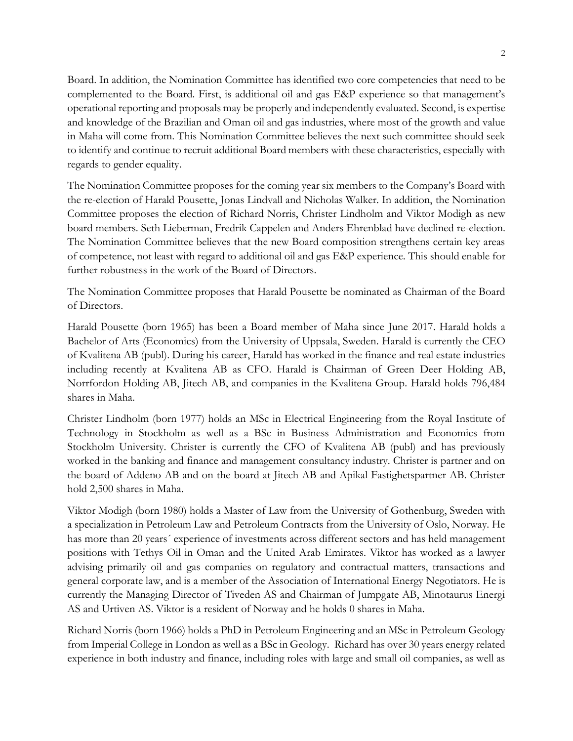Board. In addition, the Nomination Committee has identified two core competencies that need to be complemented to the Board. First, is additional oil and gas E&P experience so that management's operational reporting and proposals may be properly and independently evaluated. Second, is expertise and knowledge of the Brazilian and Oman oil and gas industries, where most of the growth and value in Maha will come from. This Nomination Committee believes the next such committee should seek to identify and continue to recruit additional Board members with these characteristics, especially with regards to gender equality.

The Nomination Committee proposes for the coming year six members to the Company's Board with the re-election of Harald Pousette, Jonas Lindvall and Nicholas Walker. In addition, the Nomination Committee proposes the election of Richard Norris, Christer Lindholm and Viktor Modigh as new board members. Seth Lieberman, Fredrik Cappelen and Anders Ehrenblad have declined re-election. The Nomination Committee believes that the new Board composition strengthens certain key areas of competence, not least with regard to additional oil and gas E&P experience. This should enable for further robustness in the work of the Board of Directors.

The Nomination Committee proposes that Harald Pousette be nominated as Chairman of the Board of Directors.

Harald Pousette (born 1965) has been a Board member of Maha since June 2017. Harald holds a Bachelor of Arts (Economics) from the University of Uppsala, Sweden. Harald is currently the CEO of Kvalitena AB (publ). During his career, Harald has worked in the finance and real estate industries including recently at Kvalitena AB as CFO. Harald is Chairman of Green Deer Holding AB, Norrfordon Holding AB, Jitech AB, and companies in the Kvalitena Group. Harald holds 796,484 shares in Maha.

Christer Lindholm (born 1977) holds an MSc in Electrical Engineering from the Royal Institute of Technology in Stockholm as well as a BSc in Business Administration and Economics from Stockholm University. Christer is currently the CFO of Kvalitena AB (publ) and has previously worked in the banking and finance and management consultancy industry. Christer is partner and on the board of Addeno AB and on the board at Jitech AB and Apikal Fastighetspartner AB. Christer hold 2,500 shares in Maha.

Viktor Modigh (born 1980) holds a Master of Law from the University of Gothenburg, Sweden with a specialization in Petroleum Law and Petroleum Contracts from the University of Oslo, Norway. He has more than 20 years´ experience of investments across different sectors and has held management positions with Tethys Oil in Oman and the United Arab Emirates. Viktor has worked as a lawyer advising primarily oil and gas companies on regulatory and contractual matters, transactions and general corporate law, and is a member of the Association of International Energy Negotiators. He is currently the Managing Director of Tiveden AS and Chairman of Jumpgate AB, Minotaurus Energi AS and Urtiven AS. Viktor is a resident of Norway and he holds 0 shares in Maha.

Richard Norris (born 1966) holds a PhD in Petroleum Engineering and an MSc in Petroleum Geology from Imperial College in London as well as a BSc in Geology. Richard has over 30 years energy related experience in both industry and finance, including roles with large and small oil companies, as well as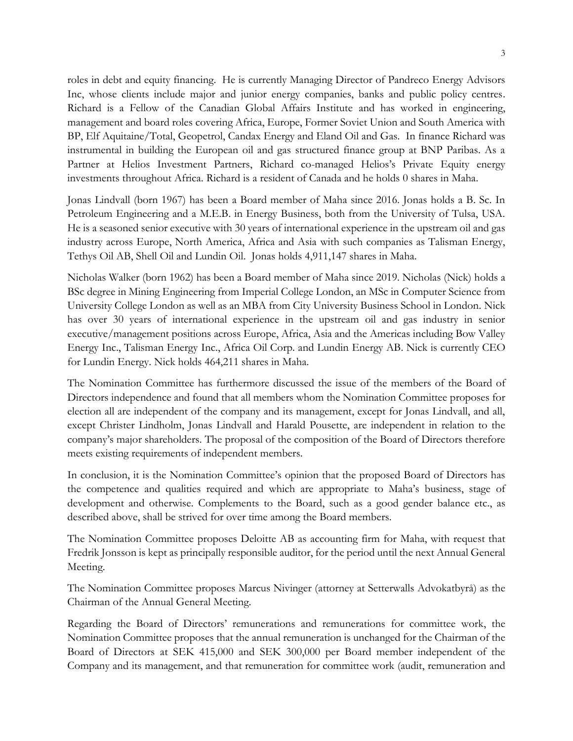roles in debt and equity financing. He is currently Managing Director of Pandreco Energy Advisors Inc, whose clients include major and junior energy companies, banks and public policy centres. Richard is a Fellow of the Canadian Global Affairs Institute and has worked in engineering, management and board roles covering Africa, Europe, Former Soviet Union and South America with BP, Elf Aquitaine/Total, Geopetrol, Candax Energy and Eland Oil and Gas. In finance Richard was instrumental in building the European oil and gas structured finance group at BNP Paribas. As a Partner at Helios Investment Partners, Richard co-managed Helios's Private Equity energy investments throughout Africa. Richard is a resident of Canada and he holds 0 shares in Maha.

Jonas Lindvall (born 1967) has been a Board member of Maha since 2016. Jonas holds a B. Sc. In Petroleum Engineering and a M.E.B. in Energy Business, both from the University of Tulsa, USA. He is a seasoned senior executive with 30 years of international experience in the upstream oil and gas industry across Europe, North America, Africa and Asia with such companies as Talisman Energy, Tethys Oil AB, Shell Oil and Lundin Oil. Jonas holds 4,911,147 shares in Maha.

Nicholas Walker (born 1962) has been a Board member of Maha since 2019. Nicholas (Nick) holds a BSc degree in Mining Engineering from Imperial College London, an MSc in Computer Science from University College London as well as an MBA from City University Business School in London. Nick has over 30 years of international experience in the upstream oil and gas industry in senior executive/management positions across Europe, Africa, Asia and the Americas including Bow Valley Energy Inc., Talisman Energy Inc., Africa Oil Corp. and Lundin Energy AB. Nick is currently CEO for Lundin Energy. Nick holds 464,211 shares in Maha.

The Nomination Committee has furthermore discussed the issue of the members of the Board of Directors independence and found that all members whom the Nomination Committee proposes for election all are independent of the company and its management, except for Jonas Lindvall, and all, except Christer Lindholm, Jonas Lindvall and Harald Pousette, are independent in relation to the company's major shareholders. The proposal of the composition of the Board of Directors therefore meets existing requirements of independent members.

In conclusion, it is the Nomination Committee's opinion that the proposed Board of Directors has the competence and qualities required and which are appropriate to Maha's business, stage of development and otherwise. Complements to the Board, such as a good gender balance etc., as described above, shall be strived for over time among the Board members.

The Nomination Committee proposes Deloitte AB as accounting firm for Maha, with request that Fredrik Jonsson is kept as principally responsible auditor, for the period until the next Annual General Meeting.

The Nomination Committee proposes Marcus Nivinger (attorney at Setterwalls Advokatbyrå) as the Chairman of the Annual General Meeting.

Regarding the Board of Directors' remunerations and remunerations for committee work, the Nomination Committee proposes that the annual remuneration is unchanged for the Chairman of the Board of Directors at SEK 415,000 and SEK 300,000 per Board member independent of the Company and its management, and that remuneration for committee work (audit, remuneration and